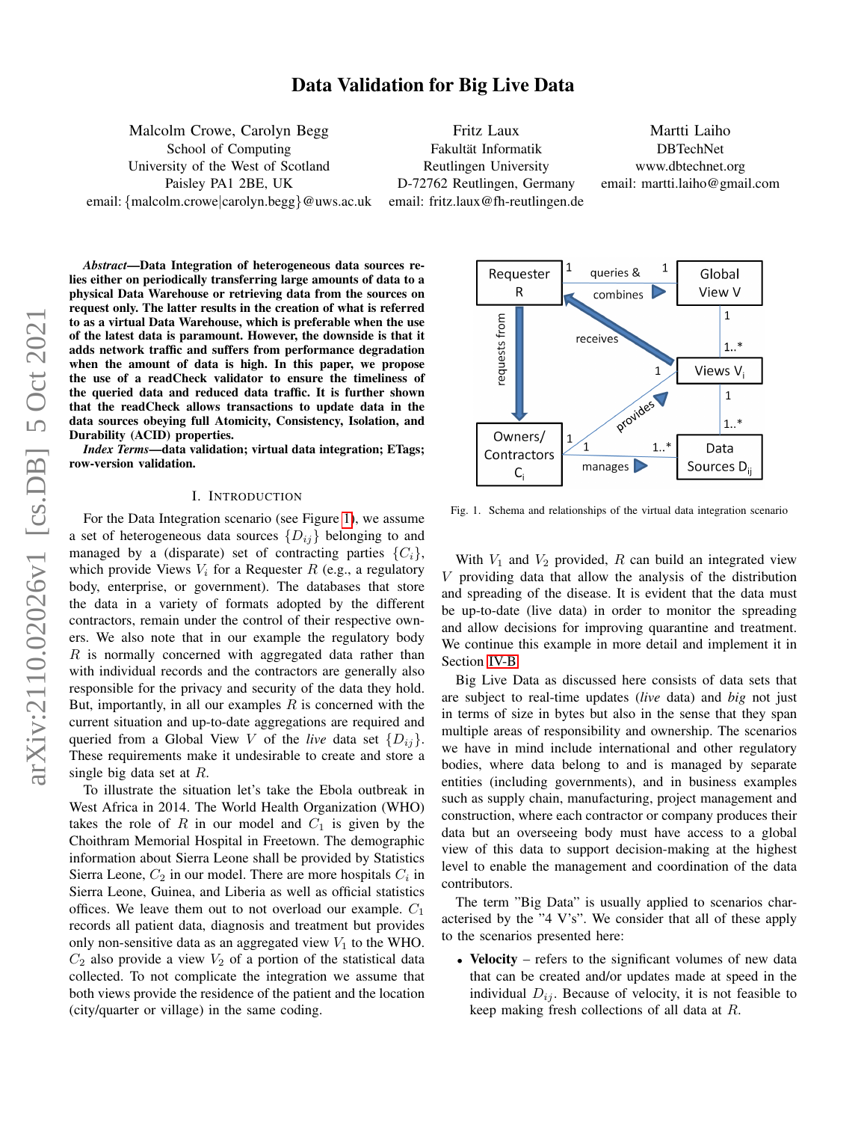# Data Validation for Big Live Data

Malcolm Crowe, Carolyn Begg School of Computing University of the West of Scotland Paisley PA1 2BE, UK email: {malcolm.crowe|carolyn.begg}@uws.ac.uk

Fritz Laux Fakultät Informatik Reutlingen University D-72762 Reutlingen, Germany email: fritz.laux@fh-reutlingen.de

Martti Laiho DBTechNet www.dbtechnet.org email: martti.laiho@gmail.com

*Abstract*—Data Integration of heterogeneous data sources relies either on periodically transferring large amounts of data to a physical Data Warehouse or retrieving data from the sources on request only. The latter results in the creation of what is referred to as a virtual Data Warehouse, which is preferable when the use of the latest data is paramount. However, the downside is that it adds network traffic and suffers from performance degradation when the amount of data is high. In this paper, we propose the use of a readCheck validator to ensure the timeliness of the queried data and reduced data traffic. It is further shown that the readCheck allows transactions to update data in the data sources obeying full Atomicity, Consistency, Isolation, and Durability (ACID) properties.

*Index Terms*—data validation; virtual data integration; ETags; row-version validation.

#### I. INTRODUCTION

For the Data Integration scenario (see Figure [1\)](#page-0-0), we assume a set of heterogeneous data sources  $\{D_{ij}\}\$  belonging to and managed by a (disparate) set of contracting parties  $\{C_i\}$ , which provide Views  $V_i$  for a Requester R (e.g., a regulatory body, enterprise, or government). The databases that store the data in a variety of formats adopted by the different contractors, remain under the control of their respective owners. We also note that in our example the regulatory body  $R$  is normally concerned with aggregated data rather than with individual records and the contractors are generally also responsible for the privacy and security of the data they hold. But, importantly, in all our examples  $R$  is concerned with the current situation and up-to-date aggregations are required and queried from a Global View V of the *live* data set  $\{D_{ij}\}.$ These requirements make it undesirable to create and store a single big data set at  $R$ .

To illustrate the situation let's take the Ebola outbreak in West Africa in 2014. The World Health Organization (WHO) takes the role of R in our model and  $C_1$  is given by the Choithram Memorial Hospital in Freetown. The demographic information about Sierra Leone shall be provided by Statistics Sierra Leone,  $C_2$  in our model. There are more hospitals  $C_i$  in Sierra Leone, Guinea, and Liberia as well as official statistics offices. We leave them out to not overload our example.  $C_1$ records all patient data, diagnosis and treatment but provides only non-sensitive data as an aggregated view  $V_1$  to the WHO.  $C_2$  also provide a view  $V_2$  of a portion of the statistical data collected. To not complicate the integration we assume that both views provide the residence of the patient and the location (city/quarter or village) in the same coding.



<span id="page-0-0"></span>Fig. 1. Schema and relationships of the virtual data integration scenario

With  $V_1$  and  $V_2$  provided,  $R$  can build an integrated view V providing data that allow the analysis of the distribution and spreading of the disease. It is evident that the data must be up-to-date (live data) in order to monitor the spreading and allow decisions for improving quarantine and treatment. We continue this example in more detail and implement it in Section [IV-B.](#page-5-0)

Big Live Data as discussed here consists of data sets that are subject to real-time updates (*live* data) and *big* not just in terms of size in bytes but also in the sense that they span multiple areas of responsibility and ownership. The scenarios we have in mind include international and other regulatory bodies, where data belong to and is managed by separate entities (including governments), and in business examples such as supply chain, manufacturing, project management and construction, where each contractor or company produces their data but an overseeing body must have access to a global view of this data to support decision-making at the highest level to enable the management and coordination of the data contributors.

The term "Big Data" is usually applied to scenarios characterised by the "4 V's". We consider that all of these apply to the scenarios presented here:

• Velocity – refers to the significant volumes of new data that can be created and/or updates made at speed in the individual  $D_{ij}$ . Because of velocity, it is not feasible to keep making fresh collections of all data at R.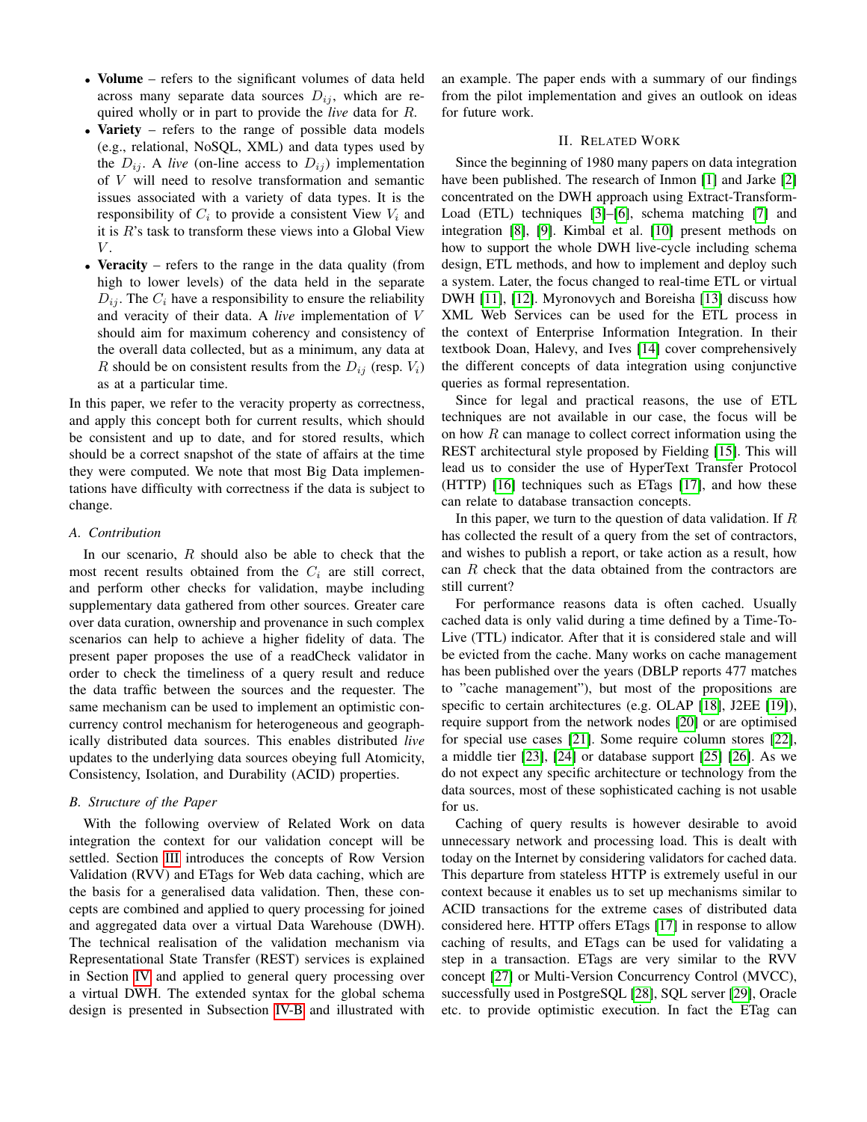- Volume refers to the significant volumes of data held across many separate data sources  $D_{ij}$ , which are required wholly or in part to provide the *live* data for R.
- Variety refers to the range of possible data models (e.g., relational, NoSQL, XML) and data types used by the  $D_{ij}$ . A *live* (on-line access to  $D_{ij}$ ) implementation of V will need to resolve transformation and semantic issues associated with a variety of data types. It is the responsibility of  $C_i$  to provide a consistent View  $V_i$  and it is  $R$ 's task to transform these views into a Global View  $V.$
- Veracity refers to the range in the data quality (from high to lower levels) of the data held in the separate  $D_{ij}$ . The  $C_i$  have a responsibility to ensure the reliability and veracity of their data. A *live* implementation of V should aim for maximum coherency and consistency of the overall data collected, but as a minimum, any data at R should be on consistent results from the  $D_{ij}$  (resp.  $V_i$ ) as at a particular time.

In this paper, we refer to the veracity property as correctness, and apply this concept both for current results, which should be consistent and up to date, and for stored results, which should be a correct snapshot of the state of affairs at the time they were computed. We note that most Big Data implementations have difficulty with correctness if the data is subject to change.

#### *A. Contribution*

In our scenario,  $R$  should also be able to check that the most recent results obtained from the  $C_i$  are still correct, and perform other checks for validation, maybe including supplementary data gathered from other sources. Greater care over data curation, ownership and provenance in such complex scenarios can help to achieve a higher fidelity of data. The present paper proposes the use of a readCheck validator in order to check the timeliness of a query result and reduce the data traffic between the sources and the requester. The same mechanism can be used to implement an optimistic concurrency control mechanism for heterogeneous and geographically distributed data sources. This enables distributed *live* updates to the underlying data sources obeying full Atomicity, Consistency, Isolation, and Durability (ACID) properties.

# *B. Structure of the Paper*

With the following overview of Related Work on data integration the context for our validation concept will be settled. Section [III](#page-2-0) introduces the concepts of Row Version Validation (RVV) and ETags for Web data caching, which are the basis for a generalised data validation. Then, these concepts are combined and applied to query processing for joined and aggregated data over a virtual Data Warehouse (DWH). The technical realisation of the validation mechanism via Representational State Transfer (REST) services is explained in Section [IV](#page-3-0) and applied to general query processing over a virtual DWH. The extended syntax for the global schema design is presented in Subsection [IV-B](#page-5-0) and illustrated with an example. The paper ends with a summary of our findings from the pilot implementation and gives an outlook on ideas for future work.

# II. RELATED WORK

Since the beginning of 1980 many papers on data integration have been published. The research of Inmon [\[1\]](#page-6-0) and Jarke [\[2\]](#page-6-1) concentrated on the DWH approach using Extract-Transform-Load (ETL) techniques [\[3\]](#page-6-2)–[\[6\]](#page-6-3), schema matching [\[7\]](#page-6-4) and integration [\[8\]](#page-6-5), [\[9\]](#page-6-6). Kimbal et al. [\[10\]](#page-6-7) present methods on how to support the whole DWH live-cycle including schema design, ETL methods, and how to implement and deploy such a system. Later, the focus changed to real-time ETL or virtual DWH [\[11\]](#page-6-8), [\[12\]](#page-6-9). Myronovych and Boreisha [\[13\]](#page-6-10) discuss how XML Web Services can be used for the ETL process in the context of Enterprise Information Integration. In their textbook Doan, Halevy, and Ives [\[14\]](#page-6-11) cover comprehensively the different concepts of data integration using conjunctive queries as formal representation.

Since for legal and practical reasons, the use of ETL techniques are not available in our case, the focus will be on how  $R$  can manage to collect correct information using the REST architectural style proposed by Fielding [\[15\]](#page-6-12). This will lead us to consider the use of HyperText Transfer Protocol (HTTP) [\[16\]](#page-6-13) techniques such as ETags [\[17\]](#page-6-14), and how these can relate to database transaction concepts.

In this paper, we turn to the question of data validation. If R has collected the result of a query from the set of contractors, and wishes to publish a report, or take action as a result, how can R check that the data obtained from the contractors are still current?

For performance reasons data is often cached. Usually cached data is only valid during a time defined by a Time-To-Live (TTL) indicator. After that it is considered stale and will be evicted from the cache. Many works on cache management has been published over the years (DBLP reports 477 matches to "cache management"), but most of the propositions are specific to certain architectures (e.g. OLAP [\[18\]](#page-6-15), J2EE [\[19\]](#page-6-16)), require support from the network nodes [\[20\]](#page-6-17) or are optimised for special use cases [\[21\]](#page-6-18). Some require column stores [\[22\]](#page-6-19), a middle tier [\[23\]](#page-6-20), [\[24\]](#page-6-21) or database support [\[25\]](#page-6-22) [\[26\]](#page-7-0). As we do not expect any specific architecture or technology from the data sources, most of these sophisticated caching is not usable for us.

Caching of query results is however desirable to avoid unnecessary network and processing load. This is dealt with today on the Internet by considering validators for cached data. This departure from stateless HTTP is extremely useful in our context because it enables us to set up mechanisms similar to ACID transactions for the extreme cases of distributed data considered here. HTTP offers ETags [\[17\]](#page-6-14) in response to allow caching of results, and ETags can be used for validating a step in a transaction. ETags are very similar to the RVV concept [\[27\]](#page-7-1) or Multi-Version Concurrency Control (MVCC), successfully used in PostgreSQL [\[28\]](#page-7-2), SQL server [\[29\]](#page-7-3), Oracle etc. to provide optimistic execution. In fact the ETag can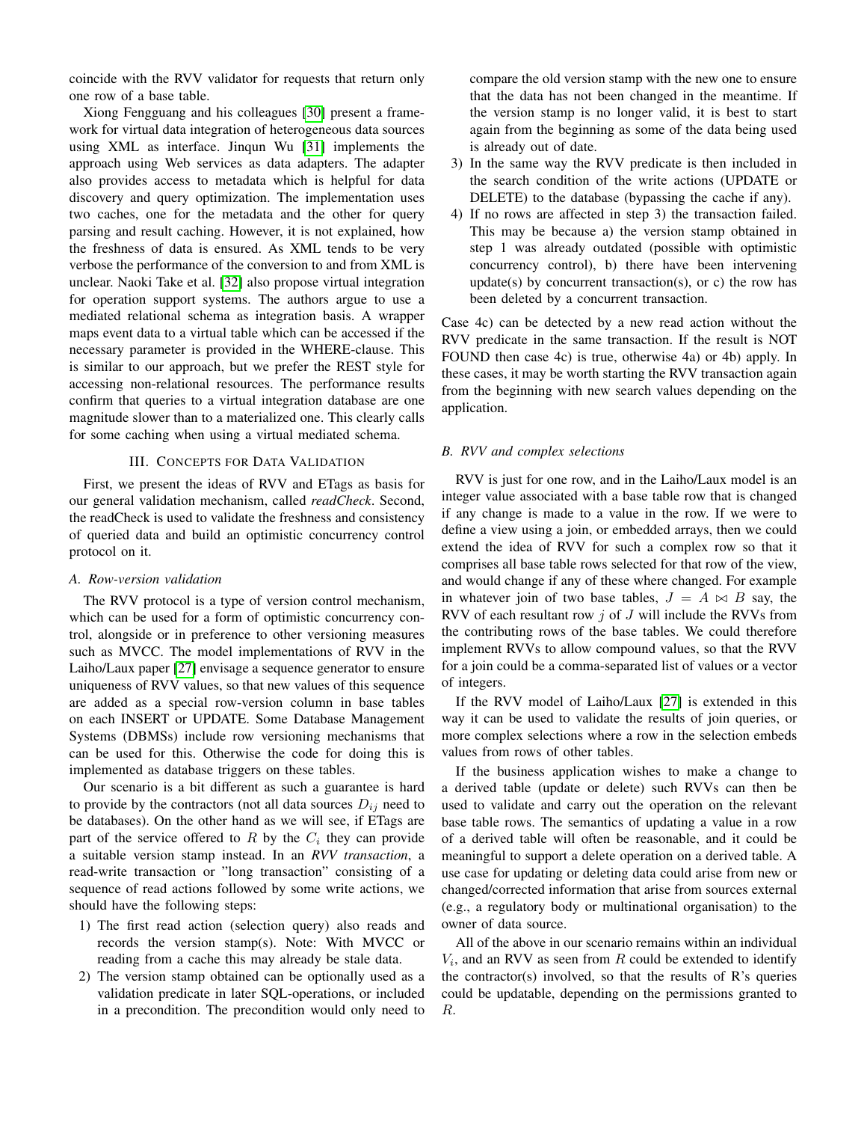coincide with the RVV validator for requests that return only one row of a base table.

Xiong Fengguang and his colleagues [\[30\]](#page-7-4) present a framework for virtual data integration of heterogeneous data sources using XML as interface. Jinqun Wu [\[31\]](#page-7-5) implements the approach using Web services as data adapters. The adapter also provides access to metadata which is helpful for data discovery and query optimization. The implementation uses two caches, one for the metadata and the other for query parsing and result caching. However, it is not explained, how the freshness of data is ensured. As XML tends to be very verbose the performance of the conversion to and from XML is unclear. Naoki Take et al. [\[32\]](#page-7-6) also propose virtual integration for operation support systems. The authors argue to use a mediated relational schema as integration basis. A wrapper maps event data to a virtual table which can be accessed if the necessary parameter is provided in the WHERE-clause. This is similar to our approach, but we prefer the REST style for accessing non-relational resources. The performance results confirm that queries to a virtual integration database are one magnitude slower than to a materialized one. This clearly calls for some caching when using a virtual mediated schema.

#### III. CONCEPTS FOR DATA VALIDATION

<span id="page-2-0"></span>First, we present the ideas of RVV and ETags as basis for our general validation mechanism, called *readCheck*. Second, the readCheck is used to validate the freshness and consistency of queried data and build an optimistic concurrency control protocol on it.

#### <span id="page-2-1"></span>*A. Row-version validation*

The RVV protocol is a type of version control mechanism, which can be used for a form of optimistic concurrency control, alongside or in preference to other versioning measures such as MVCC. The model implementations of RVV in the Laiho/Laux paper [\[27\]](#page-7-1) envisage a sequence generator to ensure uniqueness of RVV values, so that new values of this sequence are added as a special row-version column in base tables on each INSERT or UPDATE. Some Database Management Systems (DBMSs) include row versioning mechanisms that can be used for this. Otherwise the code for doing this is implemented as database triggers on these tables.

Our scenario is a bit different as such a guarantee is hard to provide by the contractors (not all data sources  $D_{ij}$  need to be databases). On the other hand as we will see, if ETags are part of the service offered to  $R$  by the  $C_i$  they can provide a suitable version stamp instead. In an *RVV transaction*, a read-write transaction or "long transaction" consisting of a sequence of read actions followed by some write actions, we should have the following steps:

- 1) The first read action (selection query) also reads and records the version stamp(s). Note: With MVCC or reading from a cache this may already be stale data.
- 2) The version stamp obtained can be optionally used as a validation predicate in later SQL-operations, or included in a precondition. The precondition would only need to

compare the old version stamp with the new one to ensure that the data has not been changed in the meantime. If the version stamp is no longer valid, it is best to start again from the beginning as some of the data being used is already out of date.

- 3) In the same way the RVV predicate is then included in the search condition of the write actions (UPDATE or DELETE) to the database (bypassing the cache if any).
- 4) If no rows are affected in step 3) the transaction failed. This may be because a) the version stamp obtained in step 1 was already outdated (possible with optimistic concurrency control), b) there have been intervening update(s) by concurrent transaction(s), or c) the row has been deleted by a concurrent transaction.

Case 4c) can be detected by a new read action without the RVV predicate in the same transaction. If the result is NOT FOUND then case 4c) is true, otherwise 4a) or 4b) apply. In these cases, it may be worth starting the RVV transaction again from the beginning with new search values depending on the application.

# *B. RVV and complex selections*

RVV is just for one row, and in the Laiho/Laux model is an integer value associated with a base table row that is changed if any change is made to a value in the row. If we were to define a view using a join, or embedded arrays, then we could extend the idea of RVV for such a complex row so that it comprises all base table rows selected for that row of the view, and would change if any of these where changed. For example in whatever join of two base tables,  $J = A \bowtie B$  say, the RVV of each resultant row  $j$  of  $J$  will include the RVVs from the contributing rows of the base tables. We could therefore implement RVVs to allow compound values, so that the RVV for a join could be a comma-separated list of values or a vector of integers.

If the RVV model of Laiho/Laux [\[27\]](#page-7-1) is extended in this way it can be used to validate the results of join queries, or more complex selections where a row in the selection embeds values from rows of other tables.

If the business application wishes to make a change to a derived table (update or delete) such RVVs can then be used to validate and carry out the operation on the relevant base table rows. The semantics of updating a value in a row of a derived table will often be reasonable, and it could be meaningful to support a delete operation on a derived table. A use case for updating or deleting data could arise from new or changed/corrected information that arise from sources external (e.g., a regulatory body or multinational organisation) to the owner of data source.

All of the above in our scenario remains within an individual  $V_i$ , and an RVV as seen from  $R$  could be extended to identify the contractor(s) involved, so that the results of  $\mathbb{R}^3$  queries could be updatable, depending on the permissions granted to R.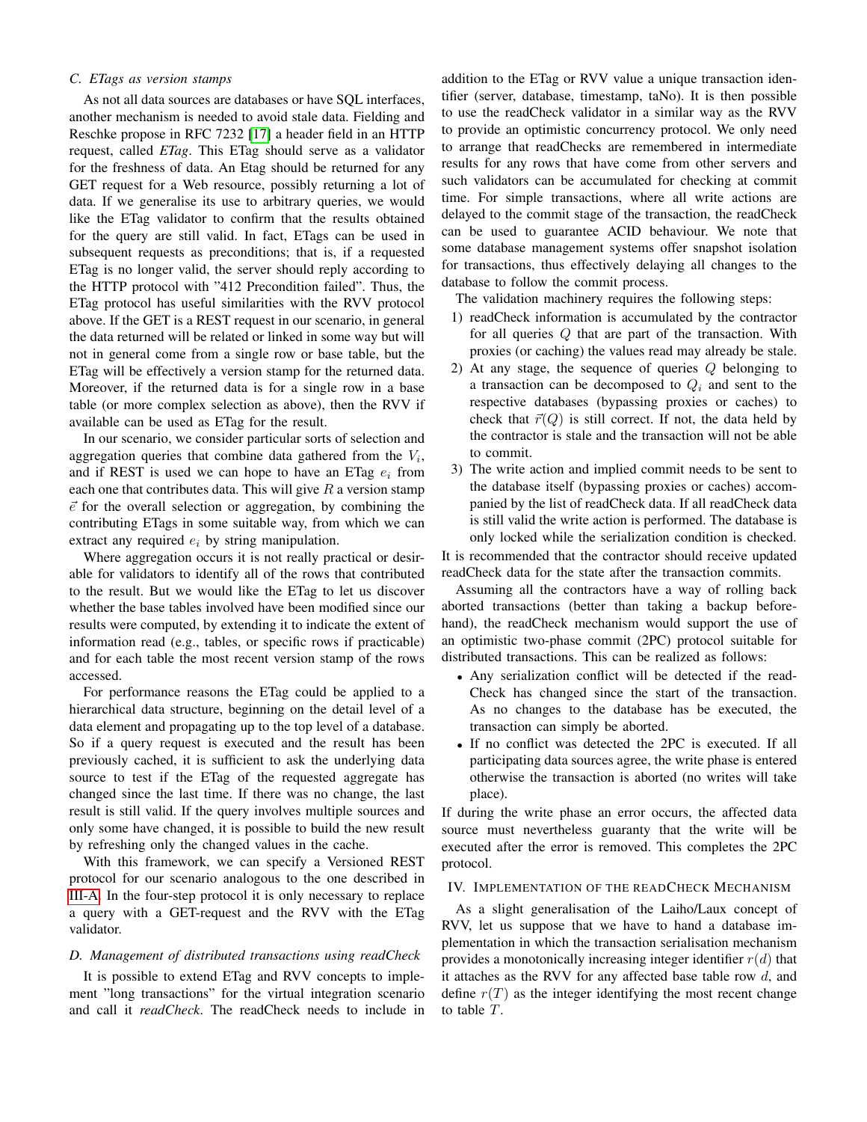#### *C. ETags as version stamps*

As not all data sources are databases or have SQL interfaces, another mechanism is needed to avoid stale data. Fielding and Reschke propose in RFC 7232 [\[17\]](#page-6-14) a header field in an HTTP request, called *ETag*. This ETag should serve as a validator for the freshness of data. An Etag should be returned for any GET request for a Web resource, possibly returning a lot of data. If we generalise its use to arbitrary queries, we would like the ETag validator to confirm that the results obtained for the query are still valid. In fact, ETags can be used in subsequent requests as preconditions; that is, if a requested ETag is no longer valid, the server should reply according to the HTTP protocol with "412 Precondition failed". Thus, the ETag protocol has useful similarities with the RVV protocol above. If the GET is a REST request in our scenario, in general the data returned will be related or linked in some way but will not in general come from a single row or base table, but the ETag will be effectively a version stamp for the returned data. Moreover, if the returned data is for a single row in a base table (or more complex selection as above), then the RVV if available can be used as ETag for the result.

In our scenario, we consider particular sorts of selection and aggregation queries that combine data gathered from the  $V_i$ , and if REST is used we can hope to have an ETag  $e_i$  from each one that contributes data. This will give  $R$  a version stamp  $\vec{e}$  for the overall selection or aggregation, by combining the contributing ETags in some suitable way, from which we can extract any required  $e_i$  by string manipulation.

Where aggregation occurs it is not really practical or desirable for validators to identify all of the rows that contributed to the result. But we would like the ETag to let us discover whether the base tables involved have been modified since our results were computed, by extending it to indicate the extent of information read (e.g., tables, or specific rows if practicable) and for each table the most recent version stamp of the rows accessed.

For performance reasons the ETag could be applied to a hierarchical data structure, beginning on the detail level of a data element and propagating up to the top level of a database. So if a query request is executed and the result has been previously cached, it is sufficient to ask the underlying data source to test if the ETag of the requested aggregate has changed since the last time. If there was no change, the last result is still valid. If the query involves multiple sources and only some have changed, it is possible to build the new result by refreshing only the changed values in the cache.

With this framework, we can specify a Versioned REST protocol for our scenario analogous to the one described in [III-A.](#page-2-1) In the four-step protocol it is only necessary to replace a query with a GET-request and the RVV with the ETag validator.

#### <span id="page-3-1"></span>*D. Management of distributed transactions using readCheck*

It is possible to extend ETag and RVV concepts to implement "long transactions" for the virtual integration scenario and call it *readCheck*. The readCheck needs to include in

addition to the ETag or RVV value a unique transaction identifier (server, database, timestamp, taNo). It is then possible to use the readCheck validator in a similar way as the RVV to provide an optimistic concurrency protocol. We only need to arrange that readChecks are remembered in intermediate results for any rows that have come from other servers and such validators can be accumulated for checking at commit time. For simple transactions, where all write actions are delayed to the commit stage of the transaction, the readCheck can be used to guarantee ACID behaviour. We note that some database management systems offer snapshot isolation for transactions, thus effectively delaying all changes to the database to follow the commit process.

The validation machinery requires the following steps:

- 1) readCheck information is accumulated by the contractor for all queries Q that are part of the transaction. With proxies (or caching) the values read may already be stale.
- 2) At any stage, the sequence of queries Q belonging to a transaction can be decomposed to  $Q_i$  and sent to the respective databases (bypassing proxies or caches) to check that  $\vec{r}(Q)$  is still correct. If not, the data held by the contractor is stale and the transaction will not be able to commit.
- 3) The write action and implied commit needs to be sent to the database itself (bypassing proxies or caches) accompanied by the list of readCheck data. If all readCheck data is still valid the write action is performed. The database is only locked while the serialization condition is checked.

It is recommended that the contractor should receive updated readCheck data for the state after the transaction commits.

Assuming all the contractors have a way of rolling back aborted transactions (better than taking a backup beforehand), the readCheck mechanism would support the use of an optimistic two-phase commit (2PC) protocol suitable for distributed transactions. This can be realized as follows:

- Any serialization conflict will be detected if the read-Check has changed since the start of the transaction. As no changes to the database has be executed, the transaction can simply be aborted.
- If no conflict was detected the 2PC is executed. If all participating data sources agree, the write phase is entered otherwise the transaction is aborted (no writes will take place).

If during the write phase an error occurs, the affected data source must nevertheless guaranty that the write will be executed after the error is removed. This completes the 2PC protocol.

# <span id="page-3-0"></span>IV. IMPLEMENTATION OF THE READCHECK MECHANISM

As a slight generalisation of the Laiho/Laux concept of RVV, let us suppose that we have to hand a database implementation in which the transaction serialisation mechanism provides a monotonically increasing integer identifier  $r(d)$  that it attaches as the RVV for any affected base table row  $d$ , and define  $r(T)$  as the integer identifying the most recent change to table T.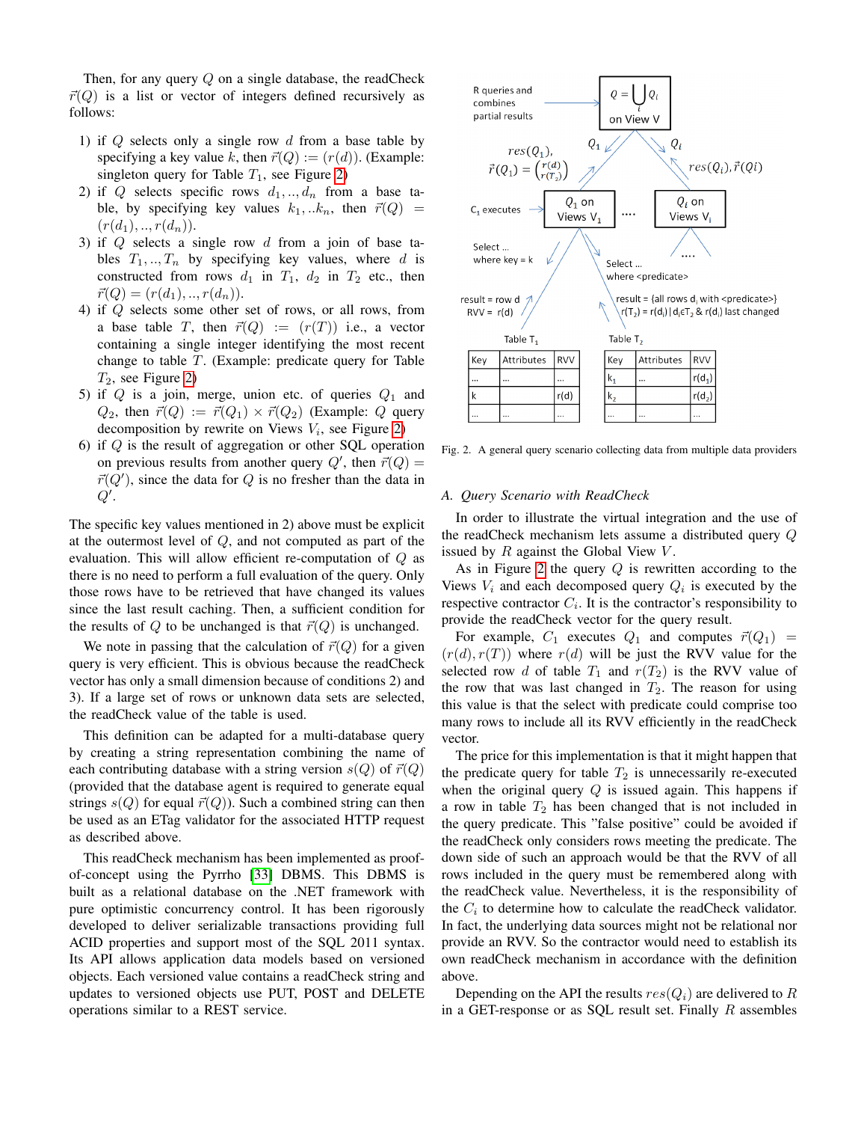Then, for any query Q on a single database, the readCheck  $\vec{r}(Q)$  is a list or vector of integers defined recursively as follows:

- 1) if  $Q$  selects only a single row  $d$  from a base table by specifying a key value k, then  $\vec{r}(Q) := (r(d))$ . (Example: singleton query for Table  $T_1$ , see Figure [2\)](#page-4-0)
- 2) if Q selects specific rows  $d_1, \ldots, d_n$  from a base table, by specifying key values  $k_1,..k_n$ , then  $\vec{r}(Q)$  =  $(r(d_1), ..., r(d_n)).$
- 3) if Q selects a single row d from a join of base tables  $T_1, ..., T_n$  by specifying key values, where d is constructed from rows  $d_1$  in  $T_1$ ,  $d_2$  in  $T_2$  etc., then  $\vec{r}(Q) = (r(d_1), \dots, r(d_n)).$
- 4) if Q selects some other set of rows, or all rows, from a base table T, then  $\vec{r}(Q) := (r(T))$  i.e., a vector containing a single integer identifying the most recent change to table T. (Example: predicate query for Table  $T_2$ , see Figure [2\)](#page-4-0)
- 5) if  $Q$  is a join, merge, union etc. of queries  $Q_1$  and  $Q_2$ , then  $\vec{r}(Q) := \vec{r}(Q_1) \times \vec{r}(Q_2)$  (Example: Q query decomposition by rewrite on Views  $V_i$ , see Figure [2\)](#page-4-0)
- 6) if  $Q$  is the result of aggregation or other SQL operation on previous results from another query  $Q'$ , then  $\vec{r}(Q)$  =  $\vec{r}(Q')$ , since the data for Q is no fresher than the data in  $Q^{\prime}$ .

The specific key values mentioned in 2) above must be explicit at the outermost level of Q, and not computed as part of the evaluation. This will allow efficient re-computation of Q as there is no need to perform a full evaluation of the query. Only those rows have to be retrieved that have changed its values since the last result caching. Then, a sufficient condition for the results of Q to be unchanged is that  $\vec{r}(Q)$  is unchanged.

We note in passing that the calculation of  $\vec{r}(Q)$  for a given query is very efficient. This is obvious because the readCheck vector has only a small dimension because of conditions 2) and 3). If a large set of rows or unknown data sets are selected, the readCheck value of the table is used.

This definition can be adapted for a multi-database query by creating a string representation combining the name of each contributing database with a string version  $s(Q)$  of  $\vec{r}(Q)$ (provided that the database agent is required to generate equal strings  $s(Q)$  for equal  $\vec{r}(Q)$ ). Such a combined string can then be used as an ETag validator for the associated HTTP request as described above.

This readCheck mechanism has been implemented as proofof-concept using the Pyrrho [\[33\]](#page-7-7) DBMS. This DBMS is built as a relational database on the .NET framework with pure optimistic concurrency control. It has been rigorously developed to deliver serializable transactions providing full ACID properties and support most of the SQL 2011 syntax. Its API allows application data models based on versioned objects. Each versioned value contains a readCheck string and updates to versioned objects use PUT, POST and DELETE operations similar to a REST service.



<span id="page-4-0"></span>Fig. 2. A general query scenario collecting data from multiple data providers

#### *A. Query Scenario with ReadCheck*

In order to illustrate the virtual integration and the use of the readCheck mechanism lets assume a distributed query Q issued by  $R$  against the Global View  $V$ .

As in Figure [2](#page-4-0) the query  $Q$  is rewritten according to the Views  $V_i$  and each decomposed query  $Q_i$  is executed by the respective contractor  $C_i$ . It is the contractor's responsibility to provide the readCheck vector for the query result.

For example,  $C_1$  executes  $Q_1$  and computes  $\vec{r}(Q_1)$  =  $(r(d), r(T))$  where  $r(d)$  will be just the RVV value for the selected row d of table  $T_1$  and  $r(T_2)$  is the RVV value of the row that was last changed in  $T_2$ . The reason for using this value is that the select with predicate could comprise too many rows to include all its RVV efficiently in the readCheck vector.

The price for this implementation is that it might happen that the predicate query for table  $T_2$  is unnecessarily re-executed when the original query  $Q$  is issued again. This happens if a row in table  $T_2$  has been changed that is not included in the query predicate. This "false positive" could be avoided if the readCheck only considers rows meeting the predicate. The down side of such an approach would be that the RVV of all rows included in the query must be remembered along with the readCheck value. Nevertheless, it is the responsibility of the  $C_i$  to determine how to calculate the readCheck validator. In fact, the underlying data sources might not be relational nor provide an RVV. So the contractor would need to establish its own readCheck mechanism in accordance with the definition above.

Depending on the API the results  $res(Q_i)$  are delivered to R in a GET-response or as SOL result set. Finally  $R$  assembles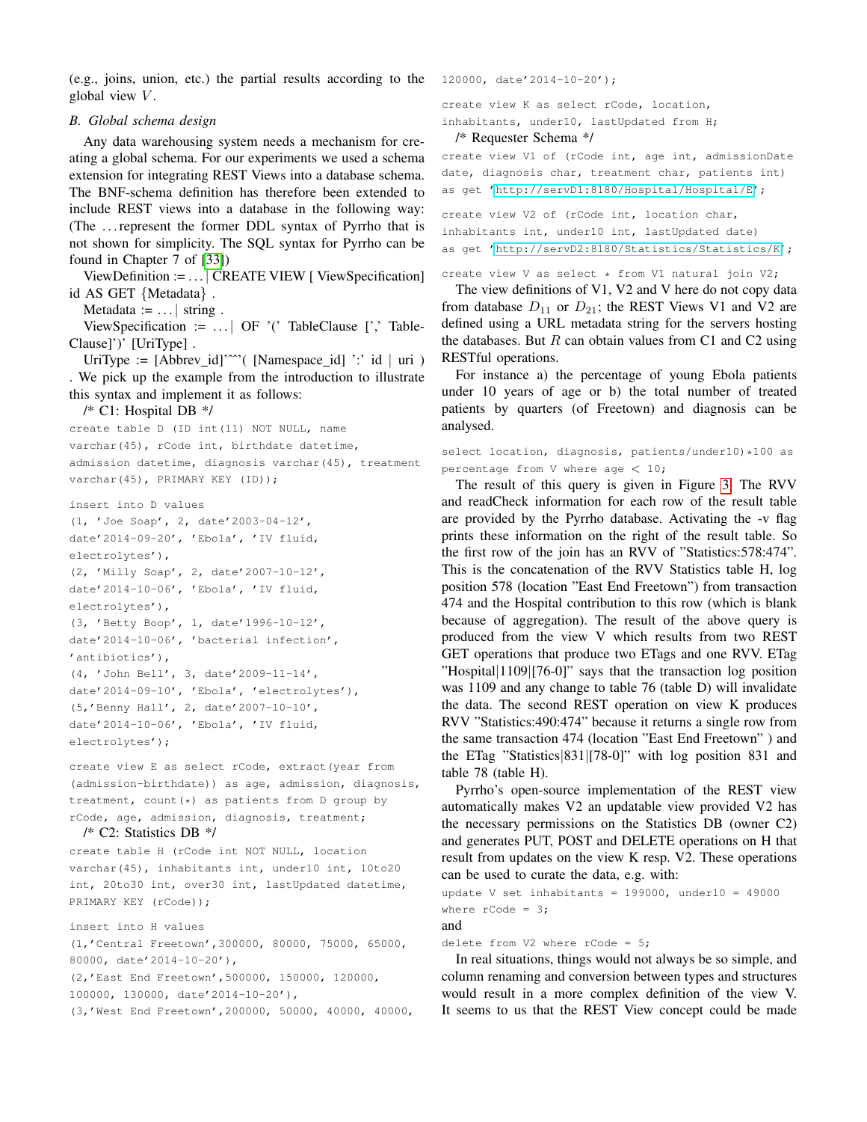(e.g., joins, union, etc.) the partial results according to the global view  $V$ .

#### <span id="page-5-0"></span>*B. Global schema design*

Any data warehousing system needs a mechanism for creating a global schema. For our experiments we used a schema extension for integrating REST Views into a database schema. The BNF-schema definition has therefore been extended to include REST views into a database in the following way: (The . . . represent the former DDL syntax of Pyrrho that is not shown for simplicity. The SQL syntax for Pyrrho can be found in Chapter 7 of [\[33\]](#page-7-7))

ViewDefinition := . . . | CREATE VIEW [ ViewSpecification] id AS GET {Metadata} .

Metadata  $:= \ldots$  | string.

ViewSpecification :=  $\dots$  | OF '(' TableClause [',' Table-Clause]')' [UriType] .

UriType :=  $[Abbrev_id]'^{\sim}$  (  $[Namespace_id]'$  :' id | uri ) . We pick up the example from the introduction to illustrate this syntax and implement it as follows:

/\* C1: Hospital DB \*/

create table D (ID int(11) NOT NULL, name varchar(45), rCode int, birthdate datetime, admission datetime, diagnosis varchar(45), treatment varchar(45), PRIMARY KEY (ID));

insert into D values (1, 'Joe Soap', 2, date'2003-04-12', date'2014-09-20', 'Ebola', 'IV fluid, electrolytes'), (2, 'Milly Soap', 2, date'2007-10-12', date'2014-10-06', 'Ebola', 'IV fluid, electrolytes'), (3, 'Betty Boop', 1, date'1996-10-12', date'2014-10-06', 'bacterial infection', 'antibiotics'), (4, 'John Bell', 3, date'2009-11-14', date'2014-09-10', 'Ebola', 'electrolytes'), (5,'Benny Hall', 2, date'2007-10-10', date'2014-10-06', 'Ebola', 'IV fluid, electrolytes');

create view E as select rCode, extract(year from (admission-birthdate)) as age, admission, diagnosis, treatment, count(\*) as patients from D group by rCode, age, admission, diagnosis, treatment;

```
/* C2: Statistics DB */
```
create table H (rCode int NOT NULL, location varchar(45), inhabitants int, under10 int, 10to20 int, 20to30 int, over30 int, lastUpdated datetime, PRIMARY KEY (rCode));

insert into H values (1,'Central Freetown',300000, 80000, 75000, 65000, 80000, date'2014-10-20'), (2,'East End Freetown',500000, 150000, 120000, 100000, 130000, date'2014-10-20'), (3,'West End Freetown',200000, 50000, 40000, 40000, 120000, date'2014-10-20');

create view K as select rCode, location, inhabitants, under10, lastUpdated from H;

/\* Requester Schema \*/

create view V1 of (rCode int, age int, admissionDate date, diagnosis char, treatment char, patients int) as get ['http://servD1:8180/Hospital/Hospital/E'](http://servD1:8180/Hospital/Hospital/E);

create view V2 of (rCode int, location char, inhabitants int, under10 int, lastUpdated date) as get ['http://servD2:8180/Statistics/Statistics/K'](http://servD2:8180/Statistics/Statistics/K);

create view V as select  $*$  from V1 natural join V2;

The view definitions of V1, V2 and V here do not copy data from database  $D_{11}$  or  $D_{21}$ ; the REST Views V1 and V2 are defined using a URL metadata string for the servers hosting the databases. But  $R$  can obtain values from C1 and C2 using RESTful operations.

For instance a) the percentage of young Ebola patients under 10 years of age or b) the total number of treated patients by quarters (of Freetown) and diagnosis can be analysed.

select location, diagnosis, patients/under10)\*100 as percentage from V where age  $< 10$ ;

The result of this query is given in Figure [3.](#page-6-23) The RVV and readCheck information for each row of the result table are provided by the Pyrrho database. Activating the -v flag prints these information on the right of the result table. So the first row of the join has an RVV of "Statistics:578:474". This is the concatenation of the RVV Statistics table H, log position 578 (location "East End Freetown") from transaction 474 and the Hospital contribution to this row (which is blank because of aggregation). The result of the above query is produced from the view V which results from two REST GET operations that produce two ETags and one RVV. ETag "Hospital|1109|[76-0]" says that the transaction log position was 1109 and any change to table 76 (table D) will invalidate the data. The second REST operation on view K produces RVV "Statistics:490:474" because it returns a single row from the same transaction 474 (location "East End Freetown" ) and the ETag "Statistics|831|[78-0]" with log position 831 and table 78 (table H).

Pyrrho's open-source implementation of the REST view automatically makes V2 an updatable view provided V2 has the necessary permissions on the Statistics DB (owner C2) and generates PUT, POST and DELETE operations on H that result from updates on the view K resp. V2. These operations can be used to curate the data, e.g. with:

```
update V set inhabitants = 199000, under10 = 49000
where rCode = 3;
and
```
delete from V2 where  $rCode = 5$ ;

In real situations, things would not always be so simple, and column renaming and conversion between types and structures would result in a more complex definition of the view V. It seems to us that the REST View concept could be made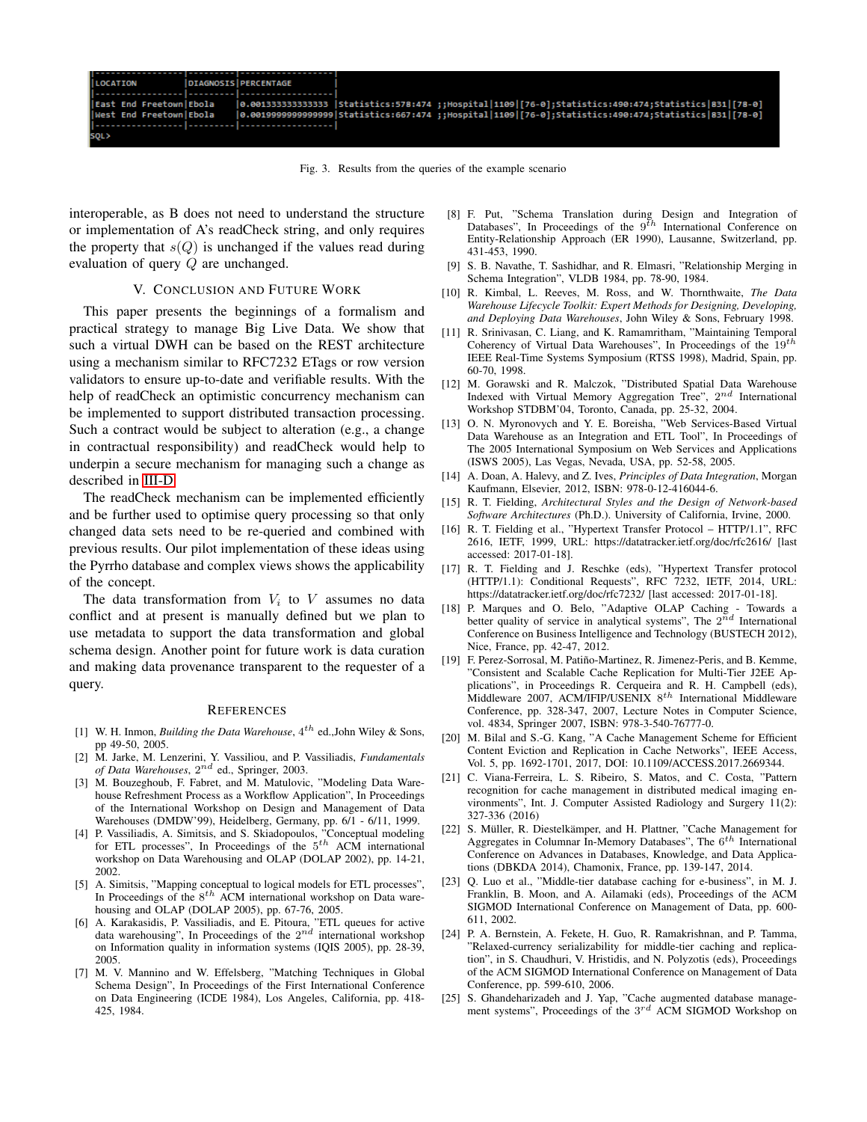| <b>LOCATION</b>           | <b>DIAGNOSIS PERCENTAGE</b> |                                                                                                       |
|---------------------------|-----------------------------|-------------------------------------------------------------------------------------------------------|
|                           |                             |                                                                                                       |
| llEast End FreetownlEbola |                             | 0.001333333333333  Statistics:578:474 ;;Hospital 1109 [76-0];Statistics:490:474;Statistics 831 [78-0] |
| West End Freetown Ebola   |                             | 0.001999999999999 Statistics:667:474;Hospital 1109 [76-0];Statistics:490:474;Statistics 831 [78-0]    |
|                           |                             |                                                                                                       |
| SQL>                      |                             |                                                                                                       |

<span id="page-6-23"></span>Fig. 3. Results from the queries of the example scenario

interoperable, as B does not need to understand the structure or implementation of A's readCheck string, and only requires the property that  $s(Q)$  is unchanged if the values read during evaluation of query Q are unchanged.

# V. CONCLUSION AND FUTURE WORK

This paper presents the beginnings of a formalism and practical strategy to manage Big Live Data. We show that such a virtual DWH can be based on the REST architecture using a mechanism similar to RFC7232 ETags or row version validators to ensure up-to-date and verifiable results. With the help of readCheck an optimistic concurrency mechanism can be implemented to support distributed transaction processing. Such a contract would be subject to alteration (e.g., a change in contractual responsibility) and readCheck would help to underpin a secure mechanism for managing such a change as described in [III-D.](#page-3-1)

The readCheck mechanism can be implemented efficiently and be further used to optimise query processing so that only changed data sets need to be re-queried and combined with previous results. Our pilot implementation of these ideas using the Pyrrho database and complex views shows the applicability of the concept.

The data transformation from  $V_i$  to V assumes no data conflict and at present is manually defined but we plan to use metadata to support the data transformation and global schema design. Another point for future work is data curation and making data provenance transparent to the requester of a query.

#### **REFERENCES**

- <span id="page-6-0"></span>[1] W. H. Inmon, *Building the Data Warehouse*,  $4^{th}$  ed., John Wiley & Sons, pp 49-50, 2005.
- <span id="page-6-1"></span>[2] M. Jarke, M. Lenzerini, Y. Vassiliou, and P. Vassiliadis, *Fundamentals of Data Warehouses*, 2 nd ed., Springer, 2003.
- <span id="page-6-2"></span>[3] M. Bouzeghoub, F. Fabret, and M. Matulovic, "Modeling Data Warehouse Refreshment Process as a Workflow Application", In Proceedings of the International Workshop on Design and Management of Data Warehouses (DMDW'99), Heidelberg, Germany, pp. 6/1 - 6/11, 1999.
- [4] P. Vassiliadis, A. Simitsis, and S. Skiadopoulos, "Conceptual modeling for ETL processes", In Proceedings of the  $5<sup>th</sup>$  ACM international workshop on Data Warehousing and OLAP (DOLAP 2002), pp. 14-21, 2002.
- [5] A. Simitsis, "Mapping conceptual to logical models for ETL processes", In Proceedings of the  $8^{th}$  ACM international workshop on Data warehousing and OLAP (DOLAP 2005), pp. 67-76, 2005.
- <span id="page-6-3"></span>[6] A. Karakasidis, P. Vassiliadis, and E. Pitoura, "ETL queues for active data warehousing", In Proceedings of the  $2^{nd}$  international workshop on Information quality in information systems (IQIS 2005), pp. 28-39, 2005.
- <span id="page-6-4"></span>[7] M. V. Mannino and W. Effelsberg, "Matching Techniques in Global Schema Design", In Proceedings of the First International Conference on Data Engineering (ICDE 1984), Los Angeles, California, pp. 418- 425, 1984.
- <span id="page-6-5"></span>[8] F. Put, "Schema Translation during Design and Integration of Databases", In Proceedings of the  $9^{\bar{t}h}$  International Conference on Entity-Relationship Approach (ER 1990), Lausanne, Switzerland, pp. 431-453, 1990.
- <span id="page-6-6"></span>[9] S. B. Navathe, T. Sashidhar, and R. Elmasri, "Relationship Merging in Schema Integration", VLDB 1984, pp. 78-90, 1984.
- <span id="page-6-7"></span>[10] R. Kimbal, L. Reeves, M. Ross, and W. Thornthwaite, *The Data Warehouse Lifecycle Toolkit: Expert Methods for Designing, Developing, and Deploying Data Warehouses*, John Wiley & Sons, February 1998.
- <span id="page-6-8"></span>[11] R. Srinivasan, C. Liang, and K. Ramamritham, "Maintaining Temporal Coherency of Virtual Data Warehouses", In Proceedings of the 19<sup>th</sup> IEEE Real-Time Systems Symposium (RTSS 1998), Madrid, Spain, pp. 60-70, 1998.
- <span id="page-6-9"></span>[12] M. Gorawski and R. Malczok, "Distributed Spatial Data Warehouse Indexed with Virtual Memory Aggregation Tree",  $2^{nd}$  International Workshop STDBM'04, Toronto, Canada, pp. 25-32, 2004.
- <span id="page-6-10"></span>[13] O. N. Myronovych and Y. E. Boreisha, "Web Services-Based Virtual Data Warehouse as an Integration and ETL Tool", In Proceedings of The 2005 International Symposium on Web Services and Applications (ISWS 2005), Las Vegas, Nevada, USA, pp. 52-58, 2005.
- <span id="page-6-11"></span>[14] A. Doan, A. Halevy, and Z. Ives, *Principles of Data Integration*, Morgan Kaufmann, Elsevier, 2012, ISBN: 978-0-12-416044-6.
- <span id="page-6-12"></span>[15] R. T. Fielding, *Architectural Styles and the Design of Network-based Software Architectures* (Ph.D.). University of California, Irvine, 2000.
- <span id="page-6-13"></span>[16] R. T. Fielding et al., "Hypertext Transfer Protocol - HTTP/1.1", RFC 2616, IETF, 1999, URL: https://datatracker.ietf.org/doc/rfc2616/ [last accessed: 2017-01-18].
- <span id="page-6-14"></span>[17] R. T. Fielding and J. Reschke (eds), "Hypertext Transfer protocol (HTTP/1.1): Conditional Requests", RFC 7232, IETF, 2014, URL: https://datatracker.ietf.org/doc/rfc7232/ [last accessed: 2017-01-18].
- <span id="page-6-15"></span>[18] P. Marques and O. Belo, "Adaptive OLAP Caching - Towards a better quality of service in analytical systems", The  $2^{\bar{n}d}$  International Conference on Business Intelligence and Technology (BUSTECH 2012), Nice, France, pp. 42-47, 2012.
- <span id="page-6-16"></span>[19] F. Perez-Sorrosal, M. Patiño-Martinez, R. Jimenez-Peris, and B. Kemme, "Consistent and Scalable Cache Replication for Multi-Tier J2EE Applications", in Proceedings R. Cerqueira and R. H. Campbell (eds), Middleware 2007, ACM/IFIP/USENIX  $8^{th}$  International Middleware Conference, pp. 328-347, 2007, Lecture Notes in Computer Science, vol. 4834, Springer 2007, ISBN: 978-3-540-76777-0.
- <span id="page-6-17"></span>[20] M. Bilal and S.-G. Kang, "A Cache Management Scheme for Efficient Content Eviction and Replication in Cache Networks", IEEE Access, Vol. 5, pp. 1692-1701, 2017, DOI: 10.1109/ACCESS.2017.2669344.
- <span id="page-6-18"></span>[21] C. Viana-Ferreira, L. S. Ribeiro, S. Matos, and C. Costa, "Pattern recognition for cache management in distributed medical imaging environments", Int. J. Computer Assisted Radiology and Surgery 11(2): 327-336 (2016)
- <span id="page-6-19"></span>[22] S. Müller, R. Diestelkämper, and H. Plattner, "Cache Management for Aggregates in Columnar In-Memory Databases", The  $6^{th}$  International Conference on Advances in Databases, Knowledge, and Data Applications (DBKDA 2014), Chamonix, France, pp. 139-147, 2014.
- <span id="page-6-20"></span>[23] Q. Luo et al., "Middle-tier database caching for e-business", in M. J. Franklin, B. Moon, and A. Ailamaki (eds), Proceedings of the ACM SIGMOD International Conference on Management of Data, pp. 600- 611, 2002.
- <span id="page-6-21"></span>[24] P. A. Bernstein, A. Fekete, H. Guo, R. Ramakrishnan, and P. Tamma, "Relaxed-currency serializability for middle-tier caching and replication", in S. Chaudhuri, V. Hristidis, and N. Polyzotis (eds), Proceedings of the ACM SIGMOD International Conference on Management of Data Conference, pp. 599-610, 2006.
- <span id="page-6-22"></span>[25] S. Ghandeharizadeh and J. Yap, "Cache augmented database management systems", Proceedings of the  $3^{rd}$  ACM SIGMOD Workshop on